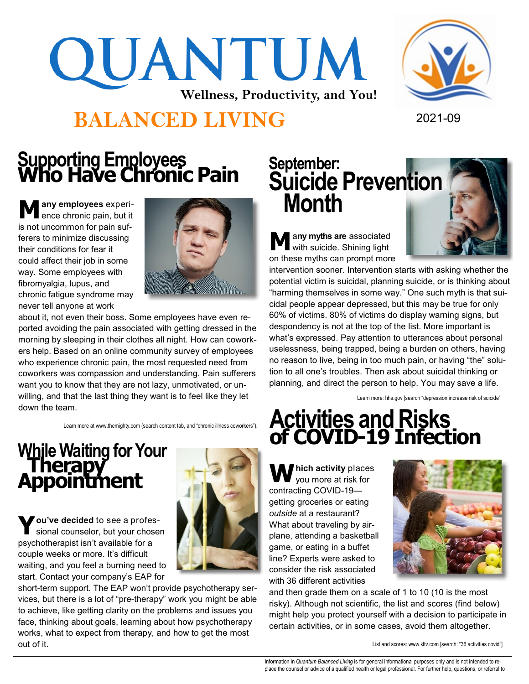# QUANTUM **Wellness, Productivity, and You!**





# **Supporting Employees<br>
<b>Who Have Chronic Pain**

**M any employees** experience chronic pain, but it is not uncommon for pain sufferers to minimize discussing their conditions for fear it could affect their job in some way. Some employees with fibromyalgia, lupus, and chronic fatigue syndrome may never tell anyone at work



about it, not even their boss. Some employees have even reported avoiding the pain associated with getting dressed in the morning by sleeping in their clothes all night. How can coworkers help. Based on an online community survey of employees who experience chronic pain, the most requested need from coworkers was compassion and understanding. Pain sufferers want you to know that they are not lazy, unmotivated, or unwilling, and that the last thing they want is to feel like they let down the team.

Learn more at www.themighty.com (search content tab, and "chronic illness coworkers").

### **While Waiting for Your Therapy Appointment**

**Y ou've decided** to see a professional counselor, but your chosen psychotherapist isn't available for a couple weeks or more. It's difficult waiting, and you feel a burning need to start. Contact your company's EAP for



short-term support. The EAP won't provide psychotherapy services, but there is a lot of "pre-therapy" work you might be able to achieve, like getting clarity on the problems and issues you face, thinking about goals, learning about how psychotherapy works, what to expect from therapy, and how to get the most out of it.

## September:<br>**Suicide Prevention Month**

**M** a**ny myths are** associated with suicide. Shining light on these myths can prompt more



intervention sooner. Intervention starts with asking whether the potential victim is suicidal, planning suicide, or is thinking about "harming themselves in some way." One such myth is that suicidal people appear depressed, but this may be true for only 60% of victims. 80% of victims do display warning signs, but despondency is not at the top of the list. More important is what's expressed. Pay attention to utterances about personal uselessness, being trapped, being a burden on others, having no reason to live, being in too much pain, or having "the" solution to all one's troubles. Then ask about suicidal thinking or planning, and direct the person to help. You may save a life.

Learn more: hhs.gov [search "depression increase risk of suicide"

#### **Activities and Risks of COVID-19 Infection**

**hich activity** places you more at risk for contracting COVID-19 getting groceries or eating *outside* at a restaurant? What about traveling by airplane, attending a basketball game, or eating in a buffet line? Experts were asked to consider the risk associated with 36 different activities



and then grade them on a scale of 1 to 10 (10 is the most risky). Although not scientific, the list and scores (find below) might help you protect yourself with a decision to participate in certain activities, or in some cases, avoid them altogether.

List and scores: www.kltv.com [search: "36 activities covid"]